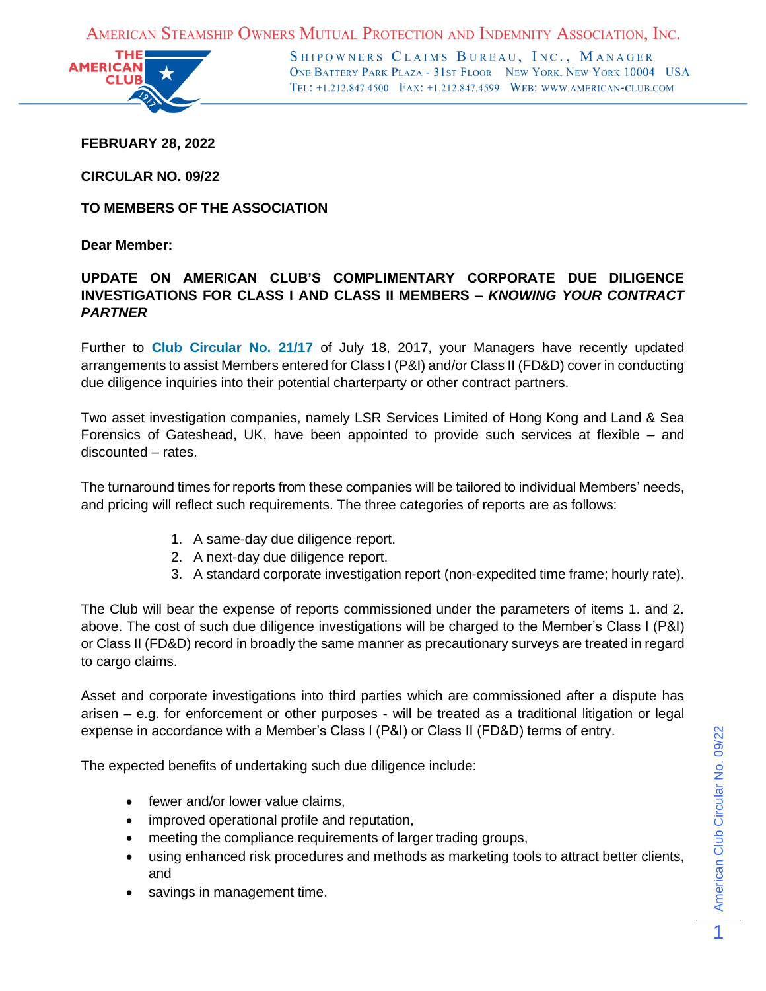AMERICAN STEAMSHIP OWNERS MUTUAL PROTECTION AND INDEMNITY ASSOCIATION, INC.



SHIPOWNERS CLAIMS BUREAU, INC., MANAGER ONE BATTERY PARK PLAZA - 31ST FLOOR NEW YORK, NEW YORK 10004 USA TEL: +1.212.847.4500 FAX: +1.212.847.4599 WEB: WWW.AMERICAN-CLUB.COM

**FEBRUARY 28, 2022**

**CIRCULAR NO. 09/22**

**TO MEMBERS OF THE ASSOCIATION**

**Dear Member:**

## **UPDATE ON AMERICAN CLUB'S COMPLIMENTARY CORPORATE DUE DILIGENCE INVESTIGATIONS FOR CLASS I AND CLASS II MEMBERS –** *KNOWING YOUR CONTRACT PARTNER*

Further to **[Club Circular No. 21/17](https://www.american-club.com/files/files/cir_21_17.pdf)** of July 18, 2017, your Managers have recently updated arrangements to assist Members entered for Class I (P&I) and/or Class II (FD&D) cover in conducting due diligence inquiries into their potential charterparty or other contract partners.

Two asset investigation companies, namely LSR Services Limited of Hong Kong and Land & Sea Forensics of Gateshead, UK, have been appointed to provide such services at flexible – and discounted – rates.

The turnaround times for reports from these companies will be tailored to individual Members' needs, and pricing will reflect such requirements. The three categories of reports are as follows:

- 1. A same-day due diligence report.
- 2. A next-day due diligence report.
- 3. A standard corporate investigation report (non-expedited time frame; hourly rate).

The Club will bear the expense of reports commissioned under the parameters of items 1. and 2. above. The cost of such due diligence investigations will be charged to the Member's Class I (P&I) or Class II (FD&D) record in broadly the same manner as precautionary surveys are treated in regard to cargo claims.

Asset and corporate investigations into third parties which are commissioned after a dispute has arisen – e.g. for enforcement or other purposes - will be treated as a traditional litigation or legal expense in accordance with a Member's Class I (P&I) or Class II (FD&D) terms of entry.

The expected benefits of undertaking such due diligence include:

- fewer and/or lower value claims.
- improved operational profile and reputation,
- meeting the compliance requirements of larger trading groups,
- using enhanced risk procedures and methods as marketing tools to attract better clients, and
- savings in management time.